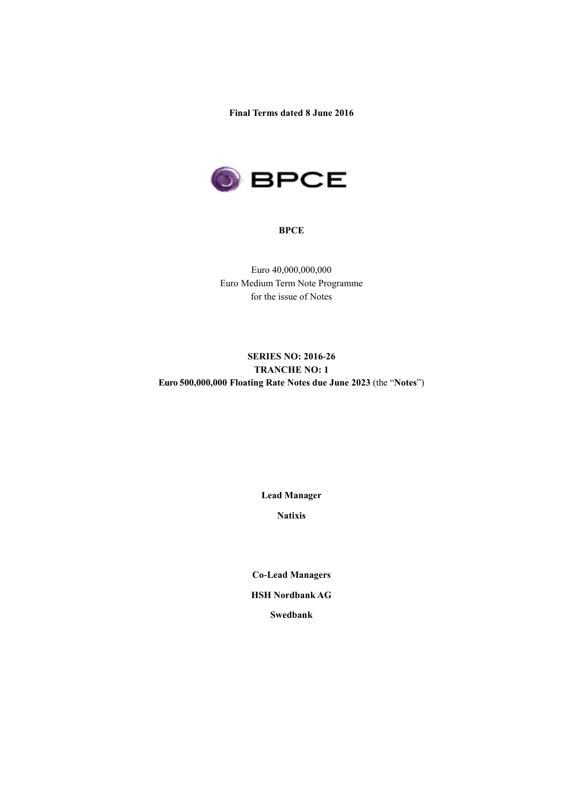**Final Terms dated 8 June 2016**



#### **BPCE**

Euro 40,000,000,000 Euro Medium Term Note Programme for the issue of Notes

# **SERIES NO: 2016-26 TRANCHE NO: 1 Euro 500,000,000 Floating Rate Notes due June 2023** (the "**Notes**")

**Lead Manager**

**Natixis**

**Co-Lead Managers HSH Nordbank AG Swedbank**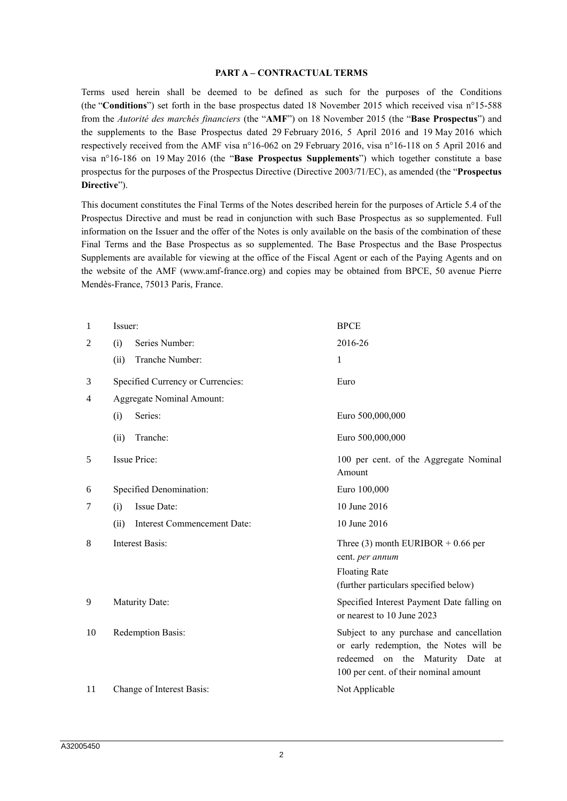#### **PART A – CONTRACTUAL TERMS**

Terms used herein shall be deemed to be defined as such for the purposes of the Conditions (the "**Conditions**") set forth in the base prospectus dated 18 November 2015 which received visa n°15-588 from the *Autorité des marchés financiers* (the "**AMF**") on 18 November 2015 (the "**Base Prospectus**") and the supplements to the Base Prospectus dated 29 February 2016, 5 April 2016 and 19 May 2016 which respectively received from the AMF visa n°16-062 on 29 February 2016, visa n°16-118 on 5 April 2016 and visa n°16-186 on 19 May 2016 (the "**Base Prospectus Supplements**") which together constitute a base prospectus for the purposes of the Prospectus Directive (Directive 2003/71/EC), as amended (the "**Prospectus Directive**").

This document constitutes the Final Terms of the Notes described herein for the purposes of Article 5.4 of the Prospectus Directive and must be read in conjunction with such Base Prospectus as so supplemented. Full information on the Issuer and the offer of the Notes is only available on the basis of the combination of these Final Terms and the Base Prospectus as so supplemented. The Base Prospectus and the Base Prospectus Supplements are available for viewing at the office of the Fiscal Agent or each of the Paying Agents and on the website of the AMF (www.amf-france.org) and copies may be obtained from BPCE, 50 avenue Pierre Mendès-France, 75013 Paris, France.

| 1  | Issuer:                             | <b>BPCE</b>                                                                                                                                                        |
|----|-------------------------------------|--------------------------------------------------------------------------------------------------------------------------------------------------------------------|
| 2  | Series Number:<br>(i)               | 2016-26                                                                                                                                                            |
|    | Tranche Number:<br>(ii)             | 1                                                                                                                                                                  |
| 3  | Specified Currency or Currencies:   | Euro                                                                                                                                                               |
| 4  | <b>Aggregate Nominal Amount:</b>    |                                                                                                                                                                    |
|    | Series:<br>(i)                      | Euro 500,000,000                                                                                                                                                   |
|    | Tranche:<br>(ii)                    | Euro 500,000,000                                                                                                                                                   |
| 5  | <b>Issue Price:</b>                 | 100 per cent. of the Aggregate Nominal<br>Amount                                                                                                                   |
| 6  | Specified Denomination:             | Euro 100,000                                                                                                                                                       |
| 7  | Issue Date:<br>(i)                  | 10 June 2016                                                                                                                                                       |
|    | Interest Commencement Date:<br>(ii) | 10 June 2016                                                                                                                                                       |
| 8  | <b>Interest Basis:</b>              | Three (3) month EURIBOR $+$ 0.66 per<br>cent. per annum                                                                                                            |
|    |                                     | <b>Floating Rate</b>                                                                                                                                               |
|    |                                     | (further particulars specified below)                                                                                                                              |
| 9  | Maturity Date:                      | Specified Interest Payment Date falling on<br>or nearest to 10 June 2023                                                                                           |
| 10 | Redemption Basis:                   | Subject to any purchase and cancellation<br>or early redemption, the Notes will be<br>redeemed on the Maturity Date<br>at<br>100 per cent. of their nominal amount |
| 11 | Change of Interest Basis:           | Not Applicable                                                                                                                                                     |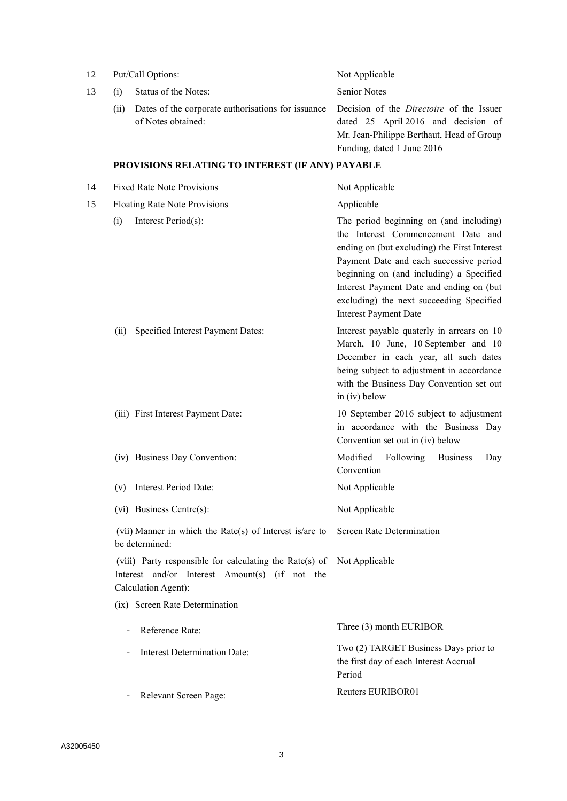| 12 |                              | Put/Call Options:                                                                                                                | Not Applicable                                                                                                                                                                                                                                                                                                                               |  |
|----|------------------------------|----------------------------------------------------------------------------------------------------------------------------------|----------------------------------------------------------------------------------------------------------------------------------------------------------------------------------------------------------------------------------------------------------------------------------------------------------------------------------------------|--|
| 13 | (i)                          | Status of the Notes:                                                                                                             | <b>Senior Notes</b>                                                                                                                                                                                                                                                                                                                          |  |
|    | (ii)                         | Dates of the corporate authorisations for issuance<br>of Notes obtained:                                                         | Decision of the <i>Directoire</i> of the Issuer<br>dated 25 April 2016 and decision of<br>Mr. Jean-Philippe Berthaut, Head of Group<br>Funding, dated 1 June 2016                                                                                                                                                                            |  |
|    |                              | PROVISIONS RELATING TO INTEREST (IF ANY) PAYABLE                                                                                 |                                                                                                                                                                                                                                                                                                                                              |  |
| 14 |                              | <b>Fixed Rate Note Provisions</b>                                                                                                | Not Applicable                                                                                                                                                                                                                                                                                                                               |  |
| 15 |                              | <b>Floating Rate Note Provisions</b>                                                                                             | Applicable                                                                                                                                                                                                                                                                                                                                   |  |
|    | (i)                          | Interest Period(s):                                                                                                              | The period beginning on (and including)<br>the Interest Commencement Date and<br>ending on (but excluding) the First Interest<br>Payment Date and each successive period<br>beginning on (and including) a Specified<br>Interest Payment Date and ending on (but<br>excluding) the next succeeding Specified<br><b>Interest Payment Date</b> |  |
|    | (ii)                         | Specified Interest Payment Dates:                                                                                                | Interest payable quaterly in arrears on 10<br>March, 10 June, 10 September and 10<br>December in each year, all such dates<br>being subject to adjustment in accordance<br>with the Business Day Convention set out<br>in (iv) below                                                                                                         |  |
|    |                              | (iii) First Interest Payment Date:                                                                                               | 10 September 2016 subject to adjustment<br>in accordance with the Business Day<br>Convention set out in (iv) below                                                                                                                                                                                                                           |  |
|    |                              | (iv) Business Day Convention:                                                                                                    | Modified<br>Following<br><b>Business</b><br>Day<br>Convention                                                                                                                                                                                                                                                                                |  |
|    | (v)                          | Interest Period Date:                                                                                                            | Not Applicable                                                                                                                                                                                                                                                                                                                               |  |
|    |                              | (vi) Business Centre(s):                                                                                                         | Not Applicable                                                                                                                                                                                                                                                                                                                               |  |
|    |                              | (vii) Manner in which the Rate(s) of Interest is/are to<br>be determined:                                                        | <b>Screen Rate Determination</b>                                                                                                                                                                                                                                                                                                             |  |
|    |                              | (viii) Party responsible for calculating the Rate(s) of<br>Interest and/or Interest Amount(s) (if not the<br>Calculation Agent): | Not Applicable                                                                                                                                                                                                                                                                                                                               |  |
|    |                              | (ix) Screen Rate Determination                                                                                                   |                                                                                                                                                                                                                                                                                                                                              |  |
|    | $\qquad \qquad \blacksquare$ | Reference Rate:                                                                                                                  | Three (3) month EURIBOR                                                                                                                                                                                                                                                                                                                      |  |
|    | $\overline{\phantom{a}}$     | Interest Determination Date:                                                                                                     | Two (2) TARGET Business Days prior to<br>the first day of each Interest Accrual<br>Period                                                                                                                                                                                                                                                    |  |
|    | ۰                            | Relevant Screen Page:                                                                                                            | Reuters EURIBOR01                                                                                                                                                                                                                                                                                                                            |  |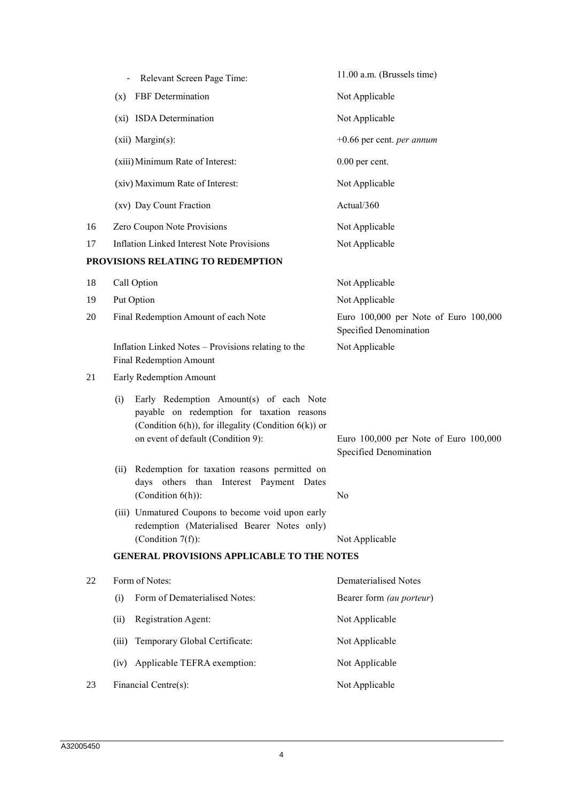|    | Relevant Screen Page Time:                                                                                                                                                                       | 11.00 a.m. (Brussels time)                                      |  |  |
|----|--------------------------------------------------------------------------------------------------------------------------------------------------------------------------------------------------|-----------------------------------------------------------------|--|--|
|    | (x) FBF Determination                                                                                                                                                                            | Not Applicable                                                  |  |  |
|    | (xi) ISDA Determination                                                                                                                                                                          | Not Applicable                                                  |  |  |
|    | (xii) Margin(s):                                                                                                                                                                                 | $+0.66$ per cent. <i>per annum</i>                              |  |  |
|    | (xiii) Minimum Rate of Interest:                                                                                                                                                                 | $0.00$ per cent.                                                |  |  |
|    | (xiv) Maximum Rate of Interest:                                                                                                                                                                  | Not Applicable                                                  |  |  |
|    | (xv) Day Count Fraction                                                                                                                                                                          | Actual/360                                                      |  |  |
| 16 | Zero Coupon Note Provisions                                                                                                                                                                      | Not Applicable                                                  |  |  |
| 17 | <b>Inflation Linked Interest Note Provisions</b>                                                                                                                                                 | Not Applicable                                                  |  |  |
|    | PROVISIONS RELATING TO REDEMPTION                                                                                                                                                                |                                                                 |  |  |
| 18 | Call Option                                                                                                                                                                                      | Not Applicable                                                  |  |  |
| 19 | Put Option                                                                                                                                                                                       | Not Applicable                                                  |  |  |
| 20 | Final Redemption Amount of each Note                                                                                                                                                             | Euro 100,000 per Note of Euro 100,000<br>Specified Denomination |  |  |
|    | Inflation Linked Notes - Provisions relating to the<br><b>Final Redemption Amount</b>                                                                                                            | Not Applicable                                                  |  |  |
| 21 | Early Redemption Amount                                                                                                                                                                          |                                                                 |  |  |
|    | Early Redemption Amount(s) of each Note<br>(i)<br>payable on redemption for taxation reasons<br>(Condition $6(h)$ ), for illegality (Condition $6(k)$ ) or<br>on event of default (Condition 9): | Euro 100,000 per Note of Euro 100,000<br>Specified Denomination |  |  |
|    | Redemption for taxation reasons permitted on<br>(ii)<br>days others than Interest Payment Dates<br>(Condition 6(h)):                                                                             | N0                                                              |  |  |
|    | (iii) Unmatured Coupons to become void upon early<br>redemption (Materialised Bearer Notes only)<br>(Condition $7(f)$ ):                                                                         | Not Applicable                                                  |  |  |
|    | <b>GENERAL PROVISIONS APPLICABLE TO THE NOTES</b>                                                                                                                                                |                                                                 |  |  |
| 22 | Form of Notes:                                                                                                                                                                                   | <b>Dematerialised Notes</b>                                     |  |  |
|    | Form of Dematerialised Notes:<br>(i)                                                                                                                                                             | Bearer form (au porteur)                                        |  |  |
|    | Registration Agent:<br>(ii)                                                                                                                                                                      | Not Applicable                                                  |  |  |
|    | Temporary Global Certificate:<br>(iii)                                                                                                                                                           | Not Applicable                                                  |  |  |
|    | Applicable TEFRA exemption:<br>(iv)                                                                                                                                                              | Not Applicable                                                  |  |  |
| 23 | Financial Centre(s):                                                                                                                                                                             | Not Applicable                                                  |  |  |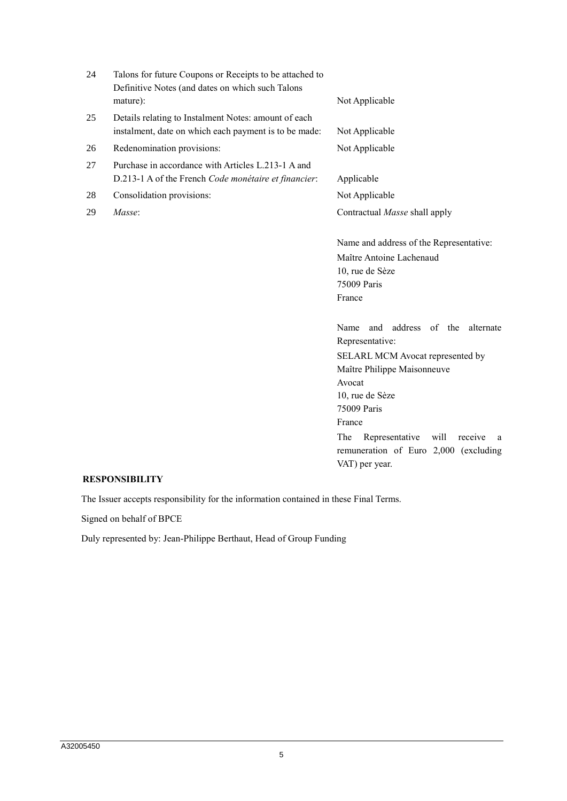| 24 | Talons for future Coupons or Receipts to be attached to<br>Definitive Notes (and dates on which such Talons   |                |
|----|---------------------------------------------------------------------------------------------------------------|----------------|
|    | mature):                                                                                                      | Not Applicable |
| 25 | Details relating to Instalment Notes: amount of each<br>instalment, date on which each payment is to be made: | Not Applicable |
| 26 | Redenomination provisions:                                                                                    | Not Applicable |

- 27 Purchase in accordance with Articles L.213-1 A and D.213-1 A of the French *Code monétaire et financier*: Applicable
- 28 Consolidation provisions: Not Applicable
- 

29 *Masse*: Contractual *Masse* shall apply

Name and address of the Representative: Maître Antoine Lachenaud 10, rue de Sèze 75009 Paris France

Name and address of the alternate Representative:

SELARL MCM Avocat represented by Maître Philippe Maisonneuve

Avocat 10, rue de Sèze 75009 Paris

France

The Representative will receive a remuneration of Euro 2,000 (excluding VAT) per year.

#### **RESPONSIBILITY**

The Issuer accepts responsibility for the information contained in these Final Terms.

Signed on behalf of BPCE

Duly represented by: Jean-Philippe Berthaut, Head of Group Funding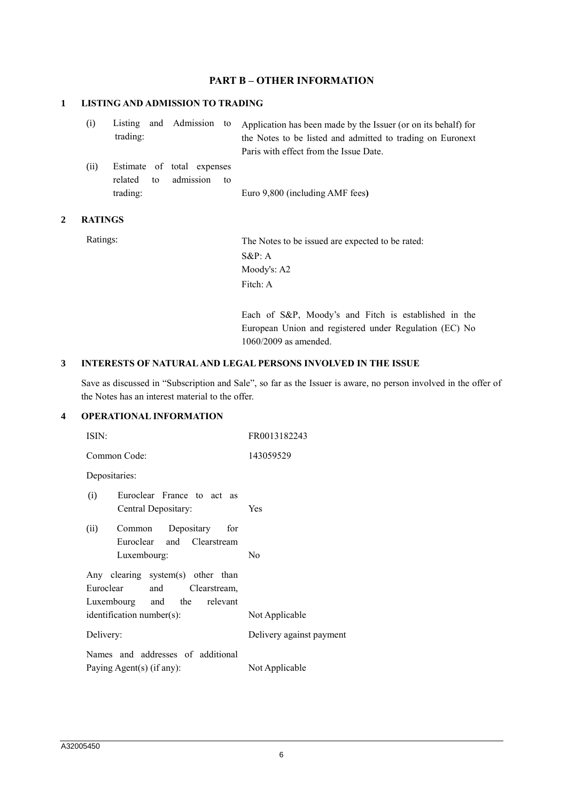## **PART B – OTHER INFORMATION**

### **1 LISTING AND ADMISSION TO TRADING**

| (i) |          |  | Listing and Admission to Application has been made by the Issuer (or on its behalf) for |
|-----|----------|--|-----------------------------------------------------------------------------------------|
|     | trading: |  | the Notes to be listed and admitted to trading on Euronext                              |
|     |          |  | Paris with effect from the Issue Date.                                                  |

(ii) Estimate of total expenses related to admission to trading: Euro 9,800 (including AMF fees**)**

#### **2 RATINGS**

Ratings: The Notes to be issued are expected to be rated: S&P: A Moody's: A2 Fitch: A

> Each of S&P, Moody's and Fitch is established in the European Union and registered under Regulation (EC) No 1060/2009 as amended.

#### **3 INTERESTS OF NATURAL AND LEGAL PERSONS INVOLVED IN THE ISSUE**

Save as discussed in "Subscription and Sale", so far as the Issuer is aware, no person involved in the offer of the Notes has an interest material to the offer.

## **4 OPERATIONAL INFORMATION**

| ISIN:                                                                                                | FR0013182243             |
|------------------------------------------------------------------------------------------------------|--------------------------|
| Common Code:                                                                                         | 143059529                |
| Depositaries:                                                                                        |                          |
| (i)<br>Euroclear France to act as<br>Central Depositary:                                             | Yes                      |
| (ii) Common Depositary<br>for<br>Euroclear and Clearstream<br>Luxembourg:                            | N <sub>0</sub>           |
| Any clearing system(s) other than<br>Euroclear<br>and<br>Clearstream,<br>Luxembourg and the relevant |                          |
| identification number(s):                                                                            | Not Applicable           |
| Delivery:                                                                                            | Delivery against payment |
| Names and addresses of additional<br>Paying Agent(s) (if any):                                       | Not Applicable           |